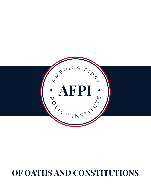## **OF OATHS AND CONSTITUTIONS**

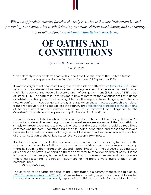*"When we appreciate America for what she truly is, we know that our Declaration is worth preserving, our Constitution worth defending, our fellow citizens worth loving, and our country worth fighting for." [\(1776 Commission Report, 2021, p. 20\)](https://trumpwhitehouse.archives.gov/wp-content/uploads/2021/01/The-Presidents-Advisory-1776-Commission-Final-Report.pdf)*

## **OF OATHS AND CONSTITUTIONS**

*By: James Baehr and Alexandra Campana*

*June 28, 2021*

"I do solemnly swear or affirm that I will support the Constitution of the United States." —First oath approved by the first Act of Congress, 29 September 1789.

It was the very first act of our first Congress to establish an oath of office [\(Keskel, 2002\).](https://www.usmcu.edu/Portals/218/LLI/MLD/Fidelity/Oath%20of%20Office%20Historical%20Guide%20to%20Moral%20Leadership.pdf?ver=2018-09-26-095744-147) Some version of this statement has been spoken by every veteran who has raised a hand to offer their life to service and leaders in every branch of our government (5 U.S. Code § 3331, Oath of Office, 1966). The oath tells us much about how to interpret the Constitution: it tells us the Constitution actually means something; it tells us the Republic faces dangers; and it tells us how to confront those dangers. In a day and age when those threats approach ever closer from a radical view taking root across the country that [rejects the principles of the founding](https://www.nytimes.com/interactive/2019/08/14/magazine/1619-america-slavery.html) of America and threatens national unity, we must recommit our allegiance to the Constitution and the enduring, universal principles which it outlines.

The oath shows that the Constitution has an objective, interpretable meaning. To swear "to support and defend" something outside of ourselves makes no sense if that something is simply whatever we want it to mean. The idea that the Constitution should be read like a contract was the core understanding of the founding generation and those that followed because it ensured the consent of the governed. In his seminal treatise A Familiar Exposition of the Constitution of the United States, Justice Joseph Story noted:

It is to be interpreted, as all other solemn instruments are, by endeavoring to ascertain the true sense and meaning of all the terms; and we are neither to narrow them, nor to enlarge them, by straining them from their just and natural import, for the purpose of adding to, or diminishing the powers, or bending them to any favorite theory or dogma of party. It is the language of the people, to be judged according to common sense, and not by mere theoretical reasoning. It is not an instrument for the mere private interpretation of any particular men.

(Story, 1840, § 42)

The corollary to this understanding of the Constitution is a commitment to the rule of law [\(1776 Commission Report, 2021, p. 6\).](https://trumpwhitehouse.archives.gov/wp-content/uploads/2021/01/The-Presidents-Advisory-1776-Commission-Final-Report.pdf) When we take the oath, we promise to uphold a written law whether or not we personally agree with it. This is the basis for a social order that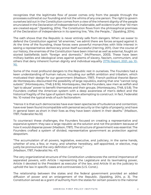recognizes that the legitimate flow of power comes only from the people through the processes outlined at our founding and not the whims of any one person. The right to govern ourselves laid out in the Constitution comes from a view of the inherent dignity of the people enunciated in the Declaration of Independence's inalienable, self-evident truth that "All men are created equal." (Spalding, 2014). The Constitution flows from the philosophical premises of the Declaration of Independence in its opening line, "We, the People…" (Spalding, 2014).

The oath shows that the Republic is never entirely safe from dangers. When we swear to defend the Constitution against "all enemies," we admit there are forces arrayed against it. At the time of the founding, those forces were powerful monarchies with little interest in seeing a representative democracy prove itself successful (Herring, 2011). Over the course of our history, the enemies of the Constitution have been internal as well as external, fought on storied battlefields both "foreign and domestic." (McPherson, 2003). These have been military battles and ideological ones against systems of slavery, fascism, communism, and others that deny inherent human dignity and individual equality [\(1776 Report, 2021, pp. 10-](https://trumpwhitehouse.archives.gov/wp-content/uploads/2021/01/The-Presidents-Advisory-1776-Commission-Final-Report.pdf) [16\).](https://trumpwhitehouse.archives.gov/wp-content/uploads/2021/01/The-Presidents-Advisory-1776-Commission-Final-Report.pdf)

Some of the most profound dangers to the Republic rest in ourselves. The Founders had a keen understanding of human nature, including our selfish ambition and tribalism, which motivated their design for our government (Madison, 1787). French political theorist Baron de Montesquieu discounted the possibility of large republics, stating that one "cannot long subsist." (Montesquieu, 1748, § 8.16). Montesquieu, like the Founders, saw men as selfish and "apt to abuse" power to benefit themselves and their groups. (Montesquieu, 1748, § 5.8). The Founders crafted the American system with a deep awareness of men's defect and the historical fragility of the type of system they were attempting to construct. In fact, Federalist No. 10 noted the typical ends of such factionalism:

"Hence it is that such democracies have ever been spectacles of turbulence and contention; have ever been found incompatible with personal security or the rights of property; and have in general been as short in their lives as they have been violent in their deaths." (Madison, 1787, Federalist No.10)

To counteract these challenges, the Founders focused on creating a representative and expansive system: they saw a large republic as the solution and not the problem because of how it would disperse power (Madison, 1787). The structure of government was essential. The Founders crafted a system of divided, representative government as protection against despotism.

"The accumulation of all powers, legislative, executive, and judiciary, in the same hands, whether of one, a few, or many, and whether hereditary, self-appointed, or elective, may justly be pronounced the very definition of tyranny." (Madison, 1787, Federalist No. 47)

The very organizational structure of the Constitution underscores the central importance of separated powers, with Article I representing the Legislature and its lawmaking power, Article II devoted to the President as executor of the law, and Article III as the judiciary to uphold the law in specific cases and controversies (U.S. Const.).

The relationship between the states and the federal government provided an added diffusion of power and an enlargement of the Republic. (Spalding, 2014, p. 3). The Constitution served as a grant of authority from the states for certain powers to the national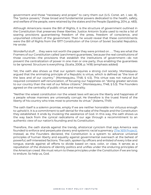government and those "necessary and proper" to carry them out (U.S. Const. art. I, sec. 8). The "police powers," those broad and fundamental powers dedicated to the health, safety, and welfare of the people, were retained by the states and the People (Spalding, 2014, p. 483).

Although Americans revere the Bill of Rights, it is the structure of government outlined in the Constitution that preserves these liberties. Justice Antonin Scalia used to recite a list of soaring provisions guaranteeing freedom of the press, freedom of conscience, and unpunished criticism of the government. Then he would reveal that these commitments were the Bill of Rights from the 1977 Constitution of the Union of Soviet Socialist Republics. He wrote:

Wonderful stuff . . . they were not worth the paper they were printed on . . . They are what the Framers of our Constitution called 'parchment guarantees,' because the real constitutions of those countries—the provisions that establish the institutions of government—do not prevent the centralization of power in one man or one party, thus enabling the guarantees to be ignored. Structure is everything. (Scalia, 2008, p. 1418) (emphasis added)

Yet, the oath also shows us that our system requires a strong civil society. Montesquieu argued that the animating principle of a Republic is virtue, which is defined as "the love of the laws and of our country." (Montesquieu, 1748, § 4.5). This virtue was not natural but required consistent self-renunciation, of focusing our happiness on "doing greater services to our country than the rest of our fellow citizens." (Montesquieu, 1748, § 5.3). The Founders agreed on the centrality of public virtue and morality.

"Neither the wisest constitution nor the wisest laws will secure the liberty and happiness of a people whose manners are universally corrupt. He therefore is the truest friend of the liberty of his country who tries most to promote its virtue." (Adams, 1749)

The oath itself is a solemn promise, empty if we are neither honorable nor virtuous enough to uphold it. It is a commitment to self-denial for the sake of the People and the Constitution they established. It ends by invoking the assistance of God. In this way, the oath shows us the way back from the cynical radicalisms of our age through a recommitment to an authentic view of our nation's founding and its Constitution.

Therefore, the oath stands against the trendy, ahistorical cynicism that says America was founded to enforce and perpetuate slavery and systemic racial supremacy [\(The 1619 Project\).](https://www.nytimes.com/interactive/2019/08/14/magazine/1619-america-slavery.html) Instead, as the Founders declared, the Constitution is a system to advance universal principles of human liberty and equality against governmental overreach at the behest of powerful, self-interested factions. The oath, spoken by officers and enlisted of every tribe and tongue, stands against all efforts to divide based on race, color, or class. It serves as a repudiation of the divisions of identity politics and unifies under the enduring principles of the American creed. We must return to these principles under the Constitution if we are long to endure. So help us, God.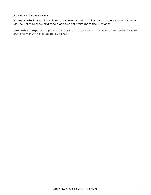## **AUTHOR BIOGRAPHY**

**James Baehr** is a Senior Fellow of the America First Policy Institute. He is a Major in the Marine Corps Reserve and served as a Special Assistant to the President.

**Alexandra Campana** is a policy analyst for the America First Policy Institute Center for 1776 and a former White House policy advisor.